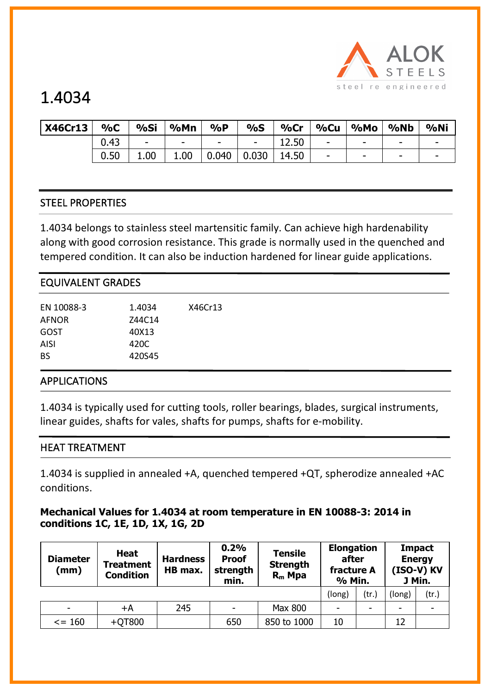

| <b>X46Cr13</b> | 9/6C | %Si                      | %Mn                      | $\%P$                    | $\%S$                    | $%$ Cr | $%$ Cu                   | %Mo                      | %Nb | %Ni                      |
|----------------|------|--------------------------|--------------------------|--------------------------|--------------------------|--------|--------------------------|--------------------------|-----|--------------------------|
|                | 0.43 | $\overline{\phantom{a}}$ | $\overline{\phantom{a}}$ | $\overline{\phantom{a}}$ | $\overline{\phantom{a}}$ | 12.50  | $\overline{\phantom{a}}$ | $\overline{\phantom{a}}$ | -   | $\overline{\phantom{a}}$ |
|                | 0.50 | 1.00                     | 1.00                     | 0.040                    | 0.030                    | 14.50  | $\overline{\phantom{a}}$ | $\overline{\phantom{a}}$ | -   | $\overline{\phantom{0}}$ |

## STEEL PROPERTIES

1.4034 belongs to stainless steel martensitic family. Can achieve high hardenability along with good corrosion resistance. This grade is normally used in the quenched and tempered condition. It can also be induction hardened for linear guide applications.

| <b>EQUIVALENT GRADES</b> |        |         |  |  |  |  |  |
|--------------------------|--------|---------|--|--|--|--|--|
| EN 10088-3               | 1.4034 | X46Cr13 |  |  |  |  |  |
| <b>AFNOR</b>             | Z44C14 |         |  |  |  |  |  |
| GOST                     | 40X13  |         |  |  |  |  |  |
| <b>AISI</b>              | 420C   |         |  |  |  |  |  |
| <b>BS</b>                | 420S45 |         |  |  |  |  |  |
| <b>APPLICATIONS</b>      |        |         |  |  |  |  |  |

1.4034 is typically used for cutting tools, roller bearings, blades, surgical instruments, linear guides, shafts for vales, shafts for pumps, shafts for e-mobility.

### HEAT TREATMENT

1.4034 is supplied in annealed +A, quenched tempered +QT, spherodize annealed +AC conditions.

### **Mechanical Values for 1.4034 at room temperature in EN 10088-3: 2014 in conditions 1C, 1E, 1D, 1X, 1G, 2D**

| <b>Diameter</b><br>(mm)  | <b>Heat</b><br><b>Hardness</b><br><b>Treatment</b><br>HB max.<br><b>Condition</b> |     | 0.2%<br><b>Proof</b><br>strength<br>min. | <b>Tensile</b><br><b>Strength</b><br>$R_m$ Mpa | <b>Elongation</b><br>after<br>fracture A<br>% Min. |       | <b>Impact</b><br><b>Energy</b><br>(ISO-V) KV<br>J Min. |       |
|--------------------------|-----------------------------------------------------------------------------------|-----|------------------------------------------|------------------------------------------------|----------------------------------------------------|-------|--------------------------------------------------------|-------|
|                          |                                                                                   |     |                                          |                                                | (long)                                             | (tr.) | (long)                                                 | (tr.) |
| $\overline{\phantom{a}}$ | +A                                                                                | 245 | ۰                                        | <b>Max 800</b>                                 | $\overline{\phantom{a}}$                           | ۰     |                                                        |       |
| $\le$ = 160              | $+QT800$                                                                          |     | 650                                      | 850 to 1000                                    | 10                                                 |       | 12                                                     |       |